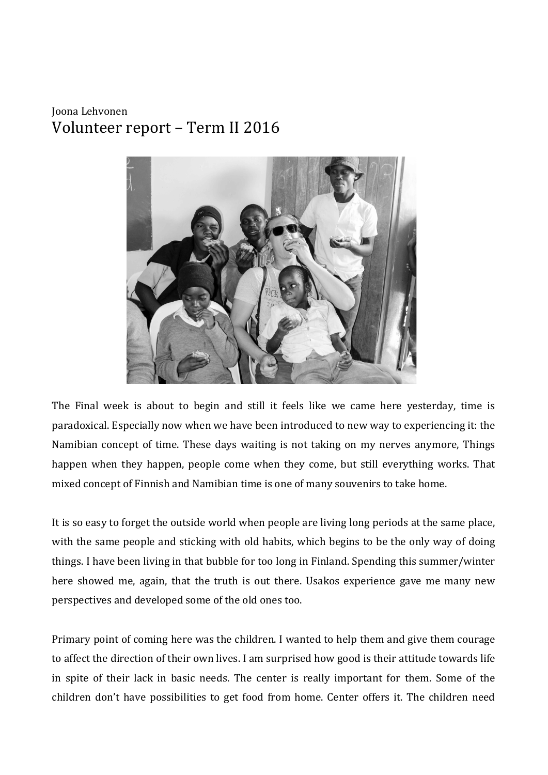## Joona Lehvonen Volunteer report - Term II 2016



The Final week is about to begin and still it feels like we came here yesterday, time is paradoxical. Especially now when we have been introduced to new way to experiencing it: the Namibian concept of time. These days waiting is not taking on my nerves anymore, Things happen when they happen, people come when they come, but still everything works. That mixed concept of Finnish and Namibian time is one of many souvenirs to take home.

It is so easy to forget the outside world when people are living long periods at the same place, with the same people and sticking with old habits, which begins to be the only way of doing things. I have been living in that bubble for too long in Finland. Spending this summer/winter here showed me, again, that the truth is out there. Usakos experience gave me many new perspectives and developed some of the old ones too.

Primary point of coming here was the children. I wanted to help them and give them courage to affect the direction of their own lives. I am surprised how good is their attitude towards life in spite of their lack in basic needs. The center is really important for them. Some of the children don't have possibilities to get food from home. Center offers it. The children need